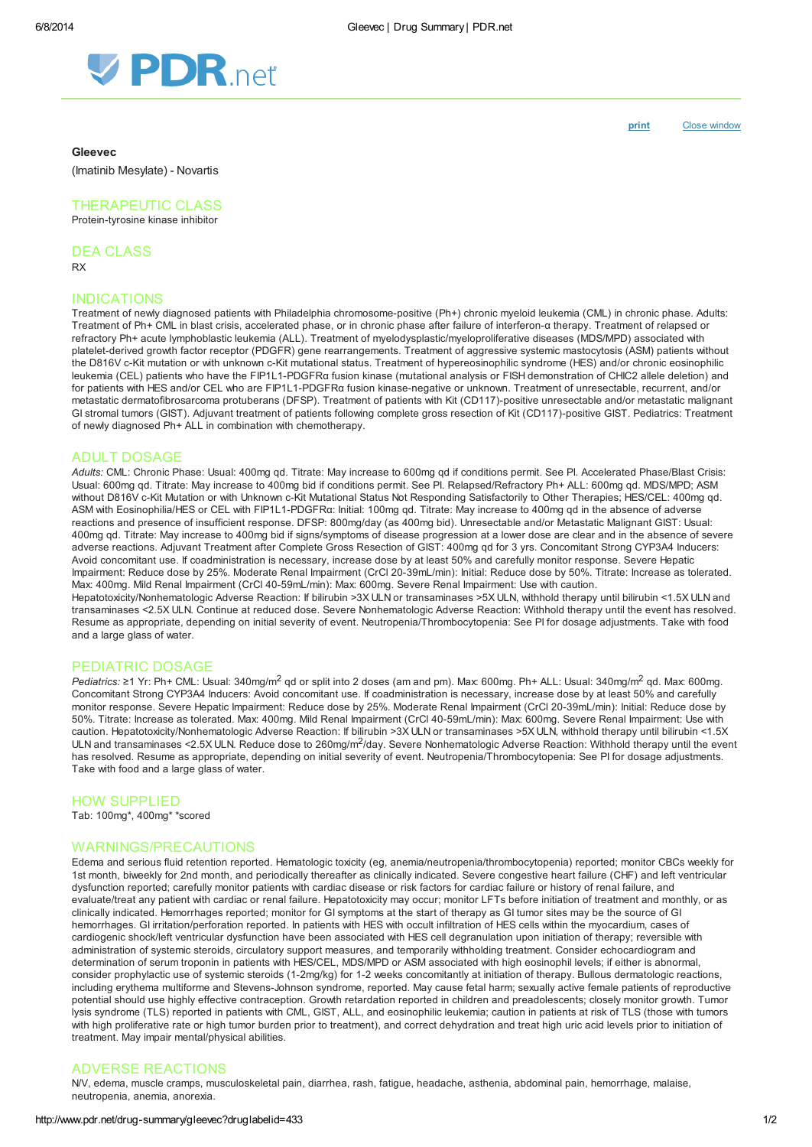

#### Gleevec

(Imatinib Mesylate) - Novartis

## THERAPEUTIC CLASS

Protein-tyrosine kinase inhibitor

DEA CLASS

RX

# INDICATIONS

Treatment of newly diagnosed patients with Philadelphia chromosome-positive (Ph+) chronic myeloid leukemia (CML) in chronic phase. Adults: Treatment of Ph+ CML in blast crisis, accelerated phase, or in chronic phase after failure of interferon-α therapy. Treatment of relapsed or refractory Ph+ acute lymphoblastic leukemia (ALL). Treatment of myelodysplastic/myeloproliferative diseases (MDS/MPD) associated with platelet-derived growth factor receptor (PDGFR) gene rearrangements. Treatment of aggressive systemic mastocytosis (ASM) patients without the D816V c-Kit mutation or with unknown c-Kit mutational status. Treatment of hypereosinophilic syndrome (HES) and/or chronic eosinophilic leukemia (CEL) patients who have the FIP1L1-PDGFRα fusion kinase (mutational analysis or FISH demonstration of CHIC2 allele deletion) and for patients with HES and/or CEL who are FIP1L1-PDGFRα fusion kinase-negative or unknown. Treatment of unresectable, recurrent, and/or metastatic dermatofibrosarcoma protuberans (DFSP). Treatment of patients with Kit (CD117)-positive unresectable and/or metastatic malignant GI stromal tumors (GIST). Adjuvant treatment of patients following complete gross resection of Kit (CD117)-positive GIST. Pediatrics: Treatment of newly diagnosed Ph+ ALL in combination with chemotherapy.

## ADULT DOSAGE

Adults: CML: Chronic Phase: Usual: 400mg qd. Titrate: May increase to 600mg qd if conditions permit. See PI. Accelerated Phase/Blast Crisis: Usual: 600mg qd. Titrate: May increase to 400mg bid if conditions permit. See PI. Relapsed/Refractory Ph+ ALL: 600mg qd. MDS/MPD; ASM without D816V c-Kit Mutation or with Unknown c-Kit Mutational Status Not Responding Satisfactorily to Other Therapies; HES/CEL: 400mg qd. ASM with Eosinophilia/HES or CEL with FIP1L1-PDGFRα: Initial: 100mg qd. Titrate: May increase to 400mg qd in the absence of adverse reactions and presence of insufficient response. DFSP: 800mg/day (as 400mg bid). Unresectable and/or Metastatic Malignant GIST: Usual: 400mg qd. Titrate: May increase to 400mg bid if signs/symptoms of disease progression at a lower dose are clear and in the absence of severe adverse reactions. Adjuvant Treatment after Complete Gross Resection of GIST: 400mg qd for 3 yrs. Concomitant Strong CYP3A4 Inducers: Avoid concomitant use. If coadministration is necessary, increase dose by at least 50% and carefully monitor response. Severe Hepatic Impairment: Reduce dose by 25%. Moderate Renal Impairment (CrCl 20-39mL/min): Initial: Reduce dose by 50%. Titrate: Increase as tolerated. Max: 400mg. Mild Renal Impairment (CrCl 40-59mL/min): Max: 600mg. Severe Renal Impairment: Use with caution.

Hepatotoxicity/Nonhematologic Adverse Reaction: If bilirubin >3X ULN or transaminases >5X ULN, withhold therapy until bilirubin <1.5X ULN and transaminases <2.5X ULN. Continue at reduced dose. Severe Nonhematologic Adverse Reaction: Withhold therapy until the event has resolved. Resume as appropriate, depending on initial severity of event. Neutropenia/Thrombocytopenia: See PI for dosage adjustments. Take with food and a large glass of water.

## PEDIATRIC DOSAGE

Pediatrics: ≥1 Yr: Ph+ CML: Usual: 340mg/m<sup>2</sup> gd or split into 2 doses (am and pm). Max: 600mg. Ph+ ALL: Usual: 340mg/m<sup>2</sup> gd. Max: 600mg. Concomitant Strong CYP3A4 Inducers: Avoid concomitant use. If coadministration is necessary, increase dose by at least 50% and carefully monitor response. Severe Hepatic Impairment: Reduce dose by 25%. Moderate Renal Impairment (CrCl 20-39mL/min): Initial: Reduce dose by 50%. Titrate: Increase as tolerated. Max: 400mg. Mild Renal Impairment (CrCl 40-59mL/min): Max: 600mg. Severe Renal Impairment: Use with caution. Hepatotoxicity/Nonhematologic Adverse Reaction: If bilirubin >3X ULN or transaminases >5X ULN, withhold therapy until bilirubin <1.5X ULN and transaminases <2.5X ULN. Reduce dose to 260mg/m<sup>2</sup>/day. Severe Nonhematologic Adverse Reaction: Withhold therapy until the event has resolved. Resume as appropriate, depending on initial severity of event. Neutropenia/Thrombocytopenia: See PI for dosage adjustments. Take with food and a large glass of water.

## HOW SUPPLIED

Tab: 100mg\*, 400mg\* \*scored

## WARNINGS/PRECAUTIONS

Edema and serious fluid retention reported. Hematologic toxicity (eg, anemia/neutropenia/thrombocytopenia) reported; monitor CBCs weekly for 1st month, biweekly for 2nd month, and periodically thereafter as clinically indicated. Severe congestive heart failure (CHF) and left ventricular dysfunction reported; carefully monitor patients with cardiac disease or risk factors for cardiac failure or history of renal failure, and evaluate/treat any patient with cardiac or renal failure. Hepatotoxicity may occur; monitor LFTs before initiation of treatment and monthly, or as clinically indicated. Hemorrhages reported; monitor for GI symptoms at the start of therapy as GI tumor sites may be the source of GI hemorrhages. GI irritation/perforation reported. In patients with HES with occult infiltration of HES cells within the myocardium, cases of cardiogenic shock/left ventricular dysfunction have been associated with HES cell degranulation upon initiation of therapy; reversible with administration of systemic steroids, circulatory support measures, and temporarily withholding treatment. Consider echocardiogram and determination of serum troponin in patients with HES/CEL, MDS/MPD or ASM associated with high eosinophil levels; if either is abnormal, consider prophylactic use of systemic steroids (1-2mg/kg) for 1-2 weeks concomitantly at initiation of therapy. Bullous dermatologic reactions, including erythema multiforme and Stevens-Johnson syndrome, reported. May cause fetal harm; sexually active female patients of reproductive potential should use highly effective contraception. Growth retardation reported in children and preadolescents; closely monitor growth. Tumor lysis syndrome (TLS) reported in patients with CML, GIST, ALL, and eosinophilic leukemia; caution in patients at risk of TLS (those with tumors with high proliferative rate or high tumor burden prior to treatment), and correct dehydration and treat high uric acid levels prior to initiation of treatment. May impair mental/physical abilities.

# ADVERSE REACTIONS

N/V, edema, muscle cramps, musculoskeletal pain, diarrhea, rash, fatigue, headache, asthenia, abdominal pain, hemorrhage, malaise, neutropenia, anemia, anorexia.

[print](http://www.pdr.net/Custom/UI/UserControls/#) Close window